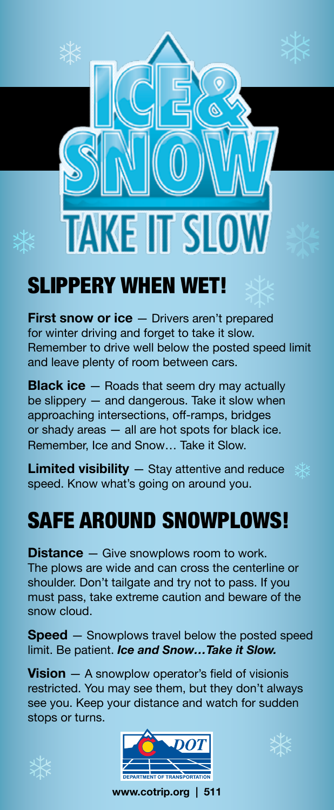

## SLIPPERY WHEN WET!

**First snow or ice** – Drivers aren't prepared for winter driving and forget to take it slow. Remember to drive well below the posted speed limit and leave plenty of room between cars.

**Black ice** — Roads that seem dry may actually be slippery — and dangerous. Take it slow when approaching intersections, off-ramps, bridges or shady areas — all are hot spots for black ice. Remember, Ice and Snow… Take it Slow.

**Limited visibility** — Stay attentive and reduce speed. Know what's going on around you.

## SAFE AROUND SNOWPLOWS!

**Distance** – Give snowplows room to work. The plows are wide and can cross the centerline or shoulder. Don't tailgate and try not to pass. If you must pass, take extreme caution and beware of the snow cloud.

**Speed** – Snowplows travel below the posted speed limit. Be patient. *Ice and Snow…Take it Slow.*

**Vision** — A snowplow operator's field of visionis restricted. You may see them, but they don't always see you. Keep your distance and watch for sudden stops or turns.







**www.cotrip.org | 511**